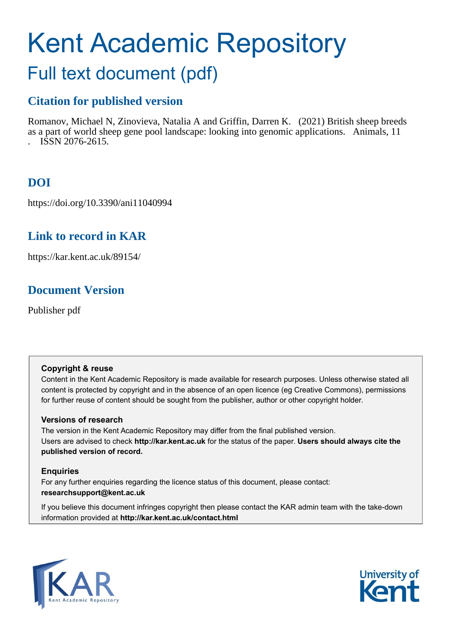# Kent Academic Repository

## Full text document (pdf)

## **Citation for published version**

Romanov, Michael N, Zinovieva, Natalia A and Griffin, Darren K. (2021) British sheep breeds as a part of world sheep gene pool landscape: looking into genomic applications. Animals, 11 . ISSN 2076-2615.

## **DOI**

https://doi.org/10.3390/ani11040994

## **Link to record in KAR**

https://kar.kent.ac.uk/89154/

## **Document Version**

Publisher pdf

#### **Copyright & reuse**

Content in the Kent Academic Repository is made available for research purposes. Unless otherwise stated all content is protected by copyright and in the absence of an open licence (eg Creative Commons), permissions for further reuse of content should be sought from the publisher, author or other copyright holder.

#### **Versions of research**

The version in the Kent Academic Repository may differ from the final published version. Users are advised to check **http://kar.kent.ac.uk** for the status of the paper. **Users should always cite the published version of record.**

#### **Enquiries**

For any further enquiries regarding the licence status of this document, please contact: **researchsupport@kent.ac.uk**

If you believe this document infringes copyright then please contact the KAR admin team with the take-down information provided at **http://kar.kent.ac.uk/contact.html**



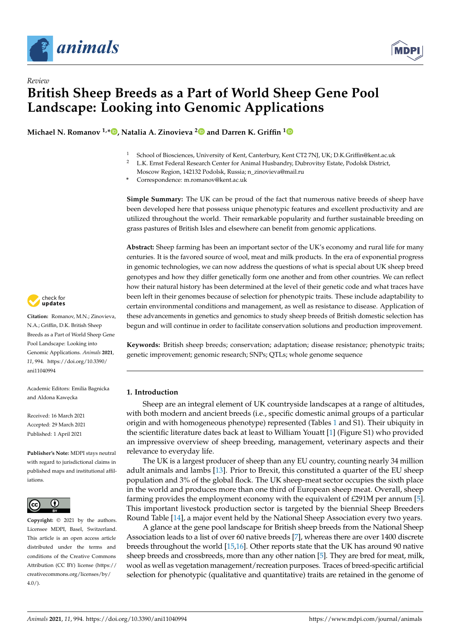

*Review*



## **British Sheep Breeds as a Part of World Sheep Gene Pool Landscape: Looking into Genomic Applications**

**Michael N. Romanov 1,[\\*](https://orcid.org/0000-0003-3584-4644) , Natalia A. Zinovieva [2](https://orcid.org/0000-0003-4017-6863) and Darren K. Griffin [1](https://orcid.org/0000-0001-7595-3226)**

- <sup>1</sup> School of Biosciences, University of Kent, Canterbury, Kent CT2 7NJ, UK; D.K.Griffin@kent.ac.uk<br><sup>2</sup> I.K. Ernst Eederal Research Conter for Animal Husbandry, Dubrovitay Estate, Pedelsk District
- <sup>2</sup> L.K. Ernst Federal Research Center for Animal Husbandry, Dubrovitsy Estate, Podolsk District,
- Moscow Region, 142132 Podolsk, Russia; n\_zinovieva@mail.ru
- **\*** Correspondence: m.romanov@kent.ac.uk

**Simple Summary:** The UK can be proud of the fact that numerous native breeds of sheep have been developed here that possess unique phenotypic features and excellent productivity and are utilized throughout the world. Their remarkable popularity and further sustainable breeding on grass pastures of British Isles and elsewhere can benefit from genomic applications.

**Abstract:** Sheep farming has been an important sector of the UK's economy and rural life for many centuries. It is the favored source of wool, meat and milk products. In the era of exponential progress in genomic technologies, we can now address the questions of what is special about UK sheep breed genotypes and how they differ genetically form one another and from other countries. We can reflect how their natural history has been determined at the level of their genetic code and what traces have been left in their genomes because of selection for phenotypic traits. These include adaptability to certain environmental conditions and management, as well as resistance to disease. Application of these advancements in genetics and genomics to study sheep breeds of British domestic selection has begun and will continue in order to facilitate conservation solutions and production improvement.

**Keywords:** British sheep breeds; conservation; adaptation; disease resistance; phenotypic traits; genetic improvement; genomic research; SNPs; QTLs; whole genome sequence

#### **1. Introduction**

Sheep are an integral element of UK countryside landscapes at a range of altitudes, with both modern and ancient breeds (i.e., specific domestic animal groups of a particular origin and with homogeneous phenotype) represented (Tables 1 and S1). Their ubiquity in the scientific literature dates back at least to William Youatt [1] (Figure S1) who provided an impressive overview of sheep breeding, management, veterinary aspects and their relevance to everyday life.

The UK is a largest producer of sheep than any EU country, counting nearly 34 million adult animals and lambs [13]. Prior to Brexit, this constituted a quarter of the EU sheep population and 3% of the global flock. The UK sheep-meat sector occupies the sixth place in the world and produces more than one third of European sheep meat. Overall, sheep farming provides the employment economy with the equivalent of £291M per annum [5]. This important livestock production sector is targeted by the biennial Sheep Breeders Round Table [14], a major event held by the National Sheep Association every two years.

A glance at the gene pool landscape for British sheep breeds from the National Sheep Association leads to a list of over 60 native breeds [7], whereas there are over 1400 discrete breeds throughout the world [15,16]. Other reports state that the UK has around 90 native sheep breeds and crossbreeds, more than any other nation [5]. They are bred for meat, milk, wool as well as vegetation management/recreation purposes. Traces of breed-specific artificial selection for phenotypic (qualitative and quantitative) traits are retained in the genome of



**Citation:** Romanov, M.N.; Zinovieva, N.A.; Griffin, D.K. British Sheep Breeds as a Part of World Sheep Gene Pool Landscape: Looking into Genomic Applications. *Animals* **2021**, *11*, 994. [https://doi.org/10.3390/](https://doi.org/10.3390/ani11040994) [ani11040994](https://doi.org/10.3390/ani11040994)

Academic Editors: Emilia Bagnicka and Aldona Kawecka

Received: 16 March 2021 Accepted: 29 March 2021 Published: 1 April 2021

**Publisher's Note:** MDPI stays neutral with regard to jurisdictional claims in published maps and institutional affiliations.



**Copyright:** © 2021 by the authors. Licensee MDPI, Basel, Switzerland. This article is an open access article distributed under the terms and conditions of the Creative Commons Attribution (CC BY) license (https:/[/](https://creativecommons.org/licenses/by/4.0/) [creativecommons.org/licenses/by/](https://creativecommons.org/licenses/by/4.0/)  $4.0/$ ).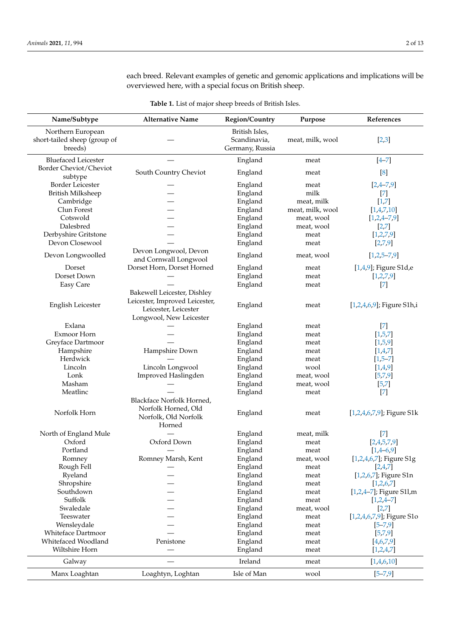each breed. Relevant examples of genetic and genomic applications and implications will be overviewed here, with a special focus on British sheep.

|  | <b>Table 1.</b> List of major sheep breeds of British Isles. |
|--|--------------------------------------------------------------|
|  |                                                              |

| Name/Subtype                      | <b>Alternative Name</b>        | <b>Region/Country</b> | Purpose          | References                 |
|-----------------------------------|--------------------------------|-----------------------|------------------|----------------------------|
| Northern European                 |                                | British Isles,        |                  |                            |
| short-tailed sheep (group of      |                                | Scandinavia,          | meat, milk, wool | [2,3]                      |
| breeds)                           |                                | Germany, Russia       |                  |                            |
| <b>Bluefaced Leicester</b>        |                                | England               | meat             | $[4 - 7]$                  |
| Border Cheviot/Cheviot<br>subtype | South Country Cheviot          | England               | meat             | [8]                        |
| Border Leicester                  |                                | England               | meat             | $[2,4-7,9]$                |
| <b>British Milksheep</b>          |                                | England               | milk             | $[7]$                      |
| Cambridge                         |                                | England               | meat, milk       | $[1,7]$                    |
| Clun Forest                       |                                | England               | meat, milk, wool | [1,4,7,10]                 |
| Cotswold                          |                                | England               | meat, wool       | $[1,2,4-7,9]$              |
| Dalesbred                         |                                | England               | meat, wool       | [2,7]                      |
| Derbyshire Gritstone              |                                | England               | meat             | [1,2,7,9]                  |
| Devon Closewool                   |                                | England               | meat             | [2,7,9]                    |
|                                   | Devon Longwool, Devon          |                       |                  |                            |
| Devon Longwoolled                 | and Cornwall Longwool          | England               | meat, wool       | $[1,2,5-7,9]$              |
| Dorset                            | Dorset Horn, Dorset Horned     | England               | meat             | [1,4,9]; Figure S1d,e      |
| Dorset Down                       |                                | England               | meat             | [1,2,7,9]                  |
| Easy Care                         |                                | England               | meat             | $[7]$                      |
|                                   | Bakewell Leicester, Dishley    |                       |                  |                            |
| English Leicester                 | Leicester, Improved Leicester, | England               | meat             | [1,2,4,6,9]; Figure S1h,i  |
|                                   | Leicester, Leicester           |                       |                  |                            |
|                                   | Longwool, New Leicester        |                       |                  |                            |
| Exlana                            |                                | England               | meat             | $[7]$                      |
| Exmoor Horn                       |                                | England               | meat             | [1,5,7]                    |
| Greyface Dartmoor                 |                                | England               | meat             | [1,5,9]                    |
| Hampshire                         | Hampshire Down                 | England               | meat             | [1,4,7]                    |
| Herdwick                          |                                | England               | meat             | $[1,5-7]$                  |
| Lincoln                           | Lincoln Longwool               | England               | wool             | [1,4,9]                    |
| Lonk                              | Improved Haslingden            | England               | meat, wool       | [5,7,9]                    |
| Masham                            |                                | England               | meat, wool       | [5, 7]                     |
| Meatlinc                          |                                | England               | meat             | $[7]$                      |
|                                   | Blackface Norfolk Horned,      |                       |                  |                            |
| Norfolk Horn                      | Norfolk Horned, Old            | England               | meat             | [1,2,4,6,7,9]; Figure S1k  |
|                                   | Norfolk, Old Norfolk           |                       |                  |                            |
|                                   | Horned                         |                       |                  |                            |
| North of England Mule             |                                | England               | meat, milk       | $[7]$                      |
| Oxford                            | Oxford Down                    | England               | meat             | [2,4,5,7,9]                |
| Portland                          |                                | England               | meat             | $[1,4-6,9]$                |
| Romney                            | Romney Marsh, Kent             | England               | meat, wool       | [1,2,4,6,7]; Figure S1g    |
| Rough Fell                        |                                | England               | meat             | [2,4,7]                    |
| Ryeland                           |                                | England               | meat             | [1,2,6,7]; Figure S1n      |
| Shropshire                        |                                | England               | meat             | [1,2,6,7]                  |
| Southdown                         |                                | England               | meat             | $[1,2,4-7]$ ; Figure S11,m |
| Suffolk                           |                                | England               | meat             | $[1,2,4-7]$                |
| Swaledale                         |                                | England               | meat, wool       | [2,7]                      |
| Teeswater                         |                                | England               | meat             | [1,2,4,6,7,9]; Figure S1o  |
| Wensleydale                       |                                | England               | meat             | $[5 - 7, 9]$               |
| <b>Whiteface Dartmoor</b>         |                                | England               | meat             | [5,7,9]                    |
| Whitefaced Woodland               | Penistone                      | England               | meat             | [4,6,7,9]                  |
| Wiltshire Horn                    |                                | England               | meat             | [1,2,4,7]                  |
| Galway                            |                                | Ireland               | meat             | [1,4,6,10]                 |
| Manx Loaghtan                     | Loaghtyn, Loghtan              | Isle of Man           | wool             | $[5 - 7, 9]$               |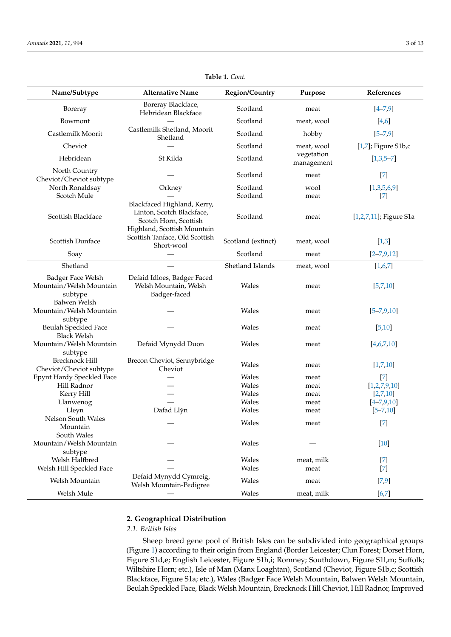| Name/Subtype                                                | <b>Alternative Name</b>                                                                                          | <b>Region/Country</b> | Purpose                  | References              |
|-------------------------------------------------------------|------------------------------------------------------------------------------------------------------------------|-----------------------|--------------------------|-------------------------|
| Boreray                                                     | Boreray Blackface,<br>Hebridean Blackface                                                                        | Scotland              | meat                     | $[4 - 7, 9]$            |
| Bowmont                                                     |                                                                                                                  | Scotland              | meat, wool               | [4,6]                   |
| Castlemilk Moorit                                           | Castlemilk Shetland, Moorit<br>Shetland                                                                          | Scotland              | hobby                    | $[5 - 7, 9]$            |
| Cheviot                                                     |                                                                                                                  | Scotland              | meat, wool               | [ $1,7$ ]; Figure S1b,c |
| Hebridean                                                   | St Kilda                                                                                                         | Scotland              | vegetation<br>management | $[1,3,5-7]$             |
| North Country<br>Cheviot/Cheviot subtype                    |                                                                                                                  | Scotland              | meat                     | $[7]$                   |
| North Ronaldsay                                             | Orkney                                                                                                           | Scotland              | wool                     | [1,3,5,6,9]             |
| Scotch Mule                                                 |                                                                                                                  | Scotland              | meat                     | $[7]$                   |
| Scottish Blackface                                          | Blackfaced Highland, Kerry,<br>Linton, Scotch Blackface,<br>Scotch Horn, Scottish<br>Highland, Scottish Mountain | Scotland              | meat                     | [1,2,7,11]; Figure S1a  |
| Scottish Dunface                                            | Scottish Tanface, Old Scottish<br>Short-wool                                                                     | Scotland (extinct)    | meat, wool               | $[1,3]$                 |
| Soay                                                        |                                                                                                                  | Scotland              | meat                     | $[2 - 7, 9, 12]$        |
| Shetland                                                    |                                                                                                                  | Shetland Islands      | meat, wool               | [1,6,7]                 |
| Badger Face Welsh<br>Mountain/Welsh Mountain<br>subtype     | Defaid Idloes, Badger Faced<br>Welsh Mountain, Welsh<br>Badger-faced                                             | Wales                 | meat                     | [5,7,10]                |
| Balwen Welsh<br>Mountain/Welsh Mountain                     |                                                                                                                  | Wales                 | meat                     | $[5 - 7, 9, 10]$        |
| subtype<br>Beulah Speckled Face<br><b>Black Welsh</b>       |                                                                                                                  | Wales                 | meat                     | [5, 10]                 |
| Mountain/Welsh Mountain                                     | Defaid Mynydd Duon                                                                                               | Wales                 | meat                     | [4,6,7,10]              |
| subtype<br><b>Brecknock Hill</b><br>Cheviot/Cheviot subtype | Brecon Cheviot, Sennybridge<br>Cheviot                                                                           | Wales                 | meat                     | [1,7,10]                |
| Epynt Hardy Speckled Face                                   |                                                                                                                  | Wales                 | meat                     | $[7]$                   |
| Hill Radnor                                                 |                                                                                                                  | Wales                 | meat                     | [1,2,7,9,10]            |
| Kerry Hill                                                  |                                                                                                                  | Wales                 | meat                     | [2,7,10]                |
| Llanwenog                                                   |                                                                                                                  | Wales                 | meat                     | $[4 - 7, 9, 10]$        |
| Lleyn                                                       | Dafad Llŷn                                                                                                       | Wales                 | meat                     | $[5 - 7, 10]$           |
| Nelson South Wales                                          |                                                                                                                  | Wales                 | meat                     | $[7]$                   |
| Mountain<br>South Wales                                     |                                                                                                                  |                       |                          |                         |
| Mountain/Welsh Mountain<br>subtype                          |                                                                                                                  | Wales                 |                          | [10]                    |
| Welsh Halfbred                                              |                                                                                                                  | Wales                 | meat, milk               | $[7]$                   |
| Welsh Hill Speckled Face                                    |                                                                                                                  | Wales                 | meat                     | $[7]$                   |
| Welsh Mountain                                              | Defaid Mynydd Cymreig,<br>Welsh Mountain-Pedigree                                                                | Wales                 | meat                     | [7, 9]                  |
| Welsh Mule                                                  |                                                                                                                  | Wales                 | meat, milk               | $[6,7]$                 |

**Table 1.** *Cont.*

#### **2. Geographical Distribution**

#### *2.1. British Isles*

Sheep breed gene pool of British Isles can be subdivided into geographical groups (Figure 1) according to their origin from England (Border Leicester; Clun Forest; Dorset Horn, Figure S1d,e; English Leicester, Figure S1h,i; Romney; Southdown, Figure S1l,m; Suffolk; Wiltshire Horn; etc.), Isle of Man (Manx Loaghtan), Scotland (Cheviot, Figure S1b,c; Scottish Blackface, Figure S1a; etc.), Wales (Badger Face Welsh Mountain, Balwen Welsh Mountain, Beulah Speckled Face, Black Welsh Mountain, Brecknock Hill Cheviot, Hill Radnor, Improved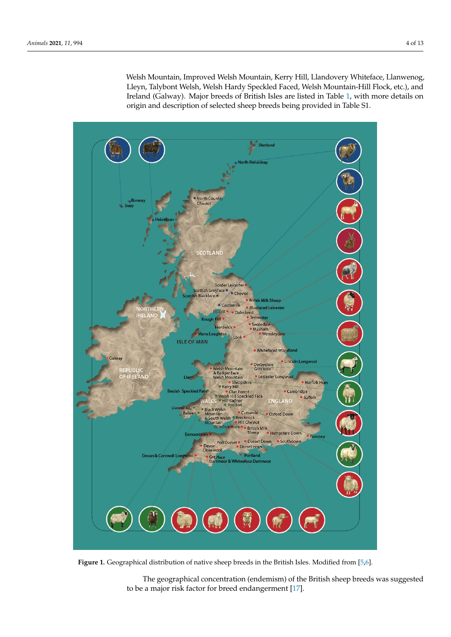Welsh Mountain, Improved Welsh Mountain, Kerry Hill, Llandovery Whiteface, Llanwenog, Lleyn, Talybont Welsh, Welsh Hardy Speckled Faced, Welsh Mountain-Hill Flock, etc.), and Ireland (Galway). Major breeds of British Isles are listed in Table 1, with more details on origin and description of selected sheep breeds being provided in Table S1.



**Figure 1.** Geographical distribution of native sheep breeds in the British Isles. Modified from [5,6]. **Figure 1.** Geographical distribution of native sheep breeds in the British Isles. Modified from [5,6].

The geographical concentration (endemism) of the British sheep breeds was suggested to be a major risk factor for breed endangerment [17].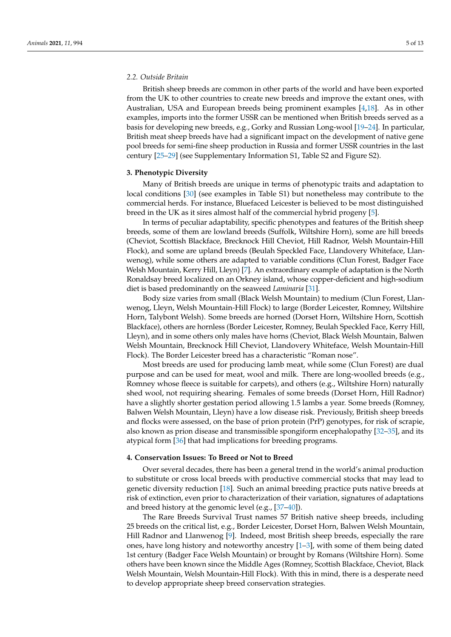#### *2.2. Outside Britain*

British sheep breeds are common in other parts of the world and have been exported from the UK to other countries to create new breeds and improve the extant ones, with Australian, USA and European breeds being prominent examples [4,18]. As in other examples, imports into the former USSR can be mentioned when British breeds served as a basis for developing new breeds, e.g., Gorky and Russian Long-wool [19–24]. In particular, British meat sheep breeds have had a significant impact on the development of native gene pool breeds for semi-fine sheep production in Russia and former USSR countries in the last century [25–29] (see Supplementary Information S1, Table S2 and Figure S2).

#### **3. Phenotypic Diversity**

Many of British breeds are unique in terms of phenotypic traits and adaptation to local conditions [30] (see examples in Table S1) but nonetheless may contribute to the commercial herds. For instance, Bluefaced Leicester is believed to be most distinguished breed in the UK as it sires almost half of the commercial hybrid progeny [5].

In terms of peculiar adaptability, specific phenotypes and features of the British sheep breeds, some of them are lowland breeds (Suffolk, Wiltshire Horn), some are hill breeds (Cheviot, Scottish Blackface, Brecknock Hill Cheviot, Hill Radnor, Welsh Mountain-Hill Flock), and some are upland breeds (Beulah Speckled Face, Llandovery Whiteface, Llanwenog), while some others are adapted to variable conditions (Clun Forest, Badger Face Welsh Mountain, Kerry Hill, Lleyn) [7]. An extraordinary example of adaptation is the North Ronaldsay breed localized on an Orkney island, whose copper-deficient and high-sodium diet is based predominantly on the seaweed *Laminaria* [31].

Body size varies from small (Black Welsh Mountain) to medium (Clun Forest, Llanwenog, Lleyn, Welsh Mountain-Hill Flock) to large (Border Leicester, Romney, Wiltshire Horn, Talybont Welsh). Some breeds are horned (Dorset Horn, Wiltshire Horn, Scottish Blackface), others are hornless (Border Leicester, Romney, Beulah Speckled Face, Kerry Hill, Lleyn), and in some others only males have horns (Cheviot, Black Welsh Mountain, Balwen Welsh Mountain, Brecknock Hill Cheviot, Llandovery Whiteface, Welsh Mountain-Hill Flock). The Border Leicester breed has a characteristic "Roman nose".

Most breeds are used for producing lamb meat, while some (Clun Forest) are dual purpose and can be used for meat, wool and milk. There are long-woolled breeds (e.g., Romney whose fleece is suitable for carpets), and others (e.g., Wiltshire Horn) naturally shed wool, not requiring shearing. Females of some breeds (Dorset Horn, Hill Radnor) have a slightly shorter gestation period allowing 1.5 lambs a year. Some breeds (Romney, Balwen Welsh Mountain, Lleyn) have a low disease risk. Previously, British sheep breeds and flocks were assessed, on the base of prion protein (PrP) genotypes, for risk of scrapie, also known as prion disease and transmissible spongiform encephalopathy [32–35], and its atypical form [36] that had implications for breeding programs.

#### **4. Conservation Issues: To Breed or Not to Breed**

Over several decades, there has been a general trend in the world's animal production to substitute or cross local breeds with productive commercial stocks that may lead to genetic diversity reduction [18]. Such an animal breeding practice puts native breeds at risk of extinction, even prior to characterization of their variation, signatures of adaptations and breed history at the genomic level (e.g., [37–40]).

The Rare Breeds Survival Trust names 57 British native sheep breeds, including 25 breeds on the critical list, e.g., Border Leicester, Dorset Horn, Balwen Welsh Mountain, Hill Radnor and Llanwenog [9]. Indeed, most British sheep breeds, especially the rare ones, have long history and noteworthy ancestry [1–3], with some of them being dated 1st century (Badger Face Welsh Mountain) or brought by Romans (Wiltshire Horn). Some others have been known since the Middle Ages (Romney, Scottish Blackface, Cheviot, Black Welsh Mountain, Welsh Mountain-Hill Flock). With this in mind, there is a desperate need to develop appropriate sheep breed conservation strategies.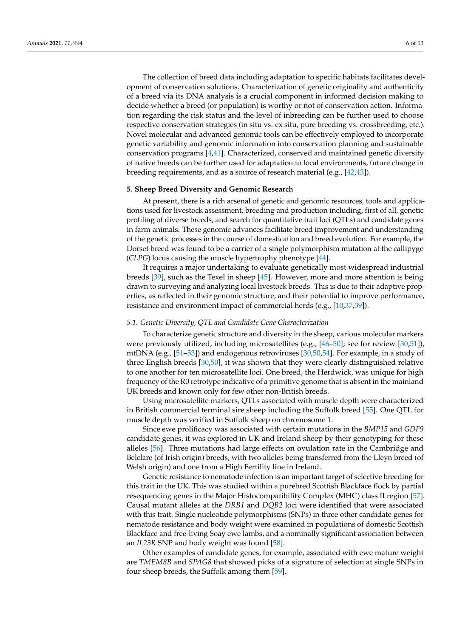The collection of breed data including adaptation to specific habitats facilitates development of conservation solutions. Characterization of genetic originality and authenticity of a breed via its DNA analysis is a crucial component in informed decision making to decide whether a breed (or population) is worthy or not of conservation action. Information regarding the risk status and the level of inbreeding can be further used to choose respective conservation strategies (in situ vs. ex situ, pure breeding vs. crossbreeding, etc.). Novel molecular and advanced genomic tools can be effectively employed to incorporate genetic variability and genomic information into conservation planning and sustainable conservation programs [4,41]. Characterized, conserved and maintained genetic diversity of native breeds can be further used for adaptation to local environments, future change in breeding requirements, and as a source of research material (e.g., [42,43]).

#### **5. Sheep Breed Diversity and Genomic Research**

At present, there is a rich arsenal of genetic and genomic resources, tools and applications used for livestock assessment, breeding and production including, first of all, genetic profiling of diverse breeds, and search for quantitative trait loci (QTLs) and candidate genes in farm animals. These genomic advances facilitate breed improvement and understanding of the genetic processes in the course of domestication and breed evolution. For example, the Dorset breed was found to be a carrier of a single polymorphism mutation at the callipyge (*CLPG*) locus causing the muscle hypertrophy phenotype [44].

It requires a major undertaking to evaluate genetically most widespread industrial breeds [39], such as the Texel in sheep [45]. However, more and more attention is being drawn to surveying and analyzing local livestock breeds. This is due to their adaptive properties, as reflected in their genomic structure, and their potential to improve performance, resistance and environment impact of commercial herds (e.g., [10,37,39]).

#### *5.1. Genetic Diversity, QTL and Candidate Gene Characterization*

To characterize genetic structure and diversity in the sheep, various molecular markers were previously utilized, including microsatellites (e.g., [46–50]; see for review [30,51]), mtDNA (e.g., [51–53]) and endogenous retroviruses [30,50,54]. For example, in a study of three English breeds [30,50], it was shown that they were clearly distinguished relative to one another for ten microsatellite loci. One breed, the Herdwick, was unique for high frequency of the R0 retrotype indicative of a primitive genome that is absent in the mainland UK breeds and known only for few other non-British breeds.

Using microsatellite markers, QTLs associated with muscle depth were characterized in British commercial terminal sire sheep including the Suffolk breed [55]. One QTL for muscle depth was verified in Suffolk sheep on chromosome 1.

Since ewe prolificacy was associated with certain mutations in the *BMP15* and *GDF9* candidate genes, it was explored in UK and Ireland sheep by their genotyping for these alleles [56]. Three mutations had large effects on ovulation rate in the Cambridge and Belclare (of Irish origin) breeds, with two alleles being transferred from the Lleyn breed (of Welsh origin) and one from a High Fertility line in Ireland.

Genetic resistance to nematode infection is an important target of selective breeding for this trait in the UK. This was studied within a purebred Scottish Blackface flock by partial resequencing genes in the Major Histocompatibility Complex (MHC) class II region [57]. Causal mutant alleles at the *DRB1* and *DQB2* loci were identified that were associated with this trait. Single nucleotide polymorphisms (SNPs) in three other candidate genes for nematode resistance and body weight were examined in populations of domestic Scottish Blackface and free-living Soay ewe lambs, and a nominally significant association between an *IL23R* SNP and body weight was found [58].

Other examples of candidate genes, for example, associated with ewe mature weight are *TMEM8B* and *SPAG8* that showed picks of a signature of selection at single SNPs in four sheep breeds, the Suffolk among them [59].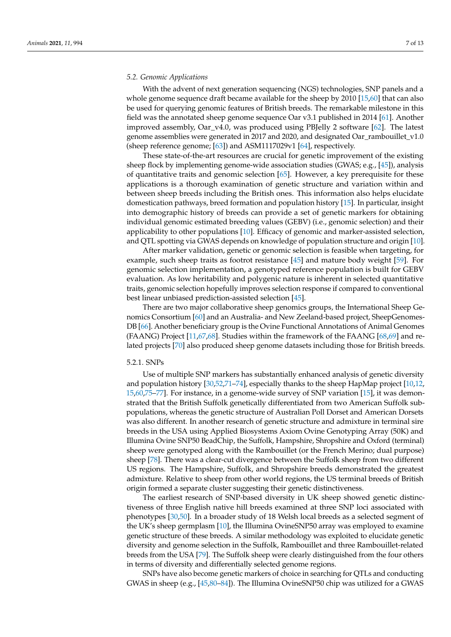#### *5.2. Genomic Applications*

With the advent of next generation sequencing (NGS) technologies, SNP panels and a whole genome sequence draft became available for the sheep by 2010 [15,60] that can also be used for querying genomic features of British breeds. The remarkable milestone in this field was the annotated sheep genome sequence Oar v3.1 published in 2014 [61]. Another improved assembly, Oar\_v4.0, was produced using PBJelly 2 software [62]. The latest genome assemblies were generated in 2017 and 2020, and designated Oar\_rambouillet\_v1.0 (sheep reference genome; [63]) and ASM1117029v1 [64], respectively.

These state-of-the-art resources are crucial for genetic improvement of the existing sheep flock by implementing genome-wide association studies (GWAS; e.g., [45]), analysis of quantitative traits and genomic selection [65]. However, a key prerequisite for these applications is a thorough examination of genetic structure and variation within and between sheep breeds including the British ones. This information also helps elucidate domestication pathways, breed formation and population history [15]. In particular, insight into demographic history of breeds can provide a set of genetic markers for obtaining individual genomic estimated breeding values (GEBV) (i.e., genomic selection) and their applicability to other populations [10]. Efficacy of genomic and marker-assisted selection, and QTL spotting via GWAS depends on knowledge of population structure and origin [10].

After marker validation, genetic or genomic selection is feasible when targeting, for example, such sheep traits as footrot resistance [45] and mature body weight [59]. For genomic selection implementation, a genotyped reference population is built for GEBV evaluation. As low heritability and polygenic nature is inherent in selected quantitative traits, genomic selection hopefully improves selection response if compared to conventional best linear unbiased prediction-assisted selection [45].

There are two major collaborative sheep genomics groups, the International Sheep Genomics Consortium [60] and an Australia- and New Zeeland-based project, SheepGenomes-DB [66]. Another beneficiary group is the Ovine Functional Annotations of Animal Genomes (FAANG) Project [11,67,68]. Studies within the framework of the FAANG [68,69] and related projects [70] also produced sheep genome datasets including those for British breeds.

#### 5.2.1. SNPs

Use of multiple SNP markers has substantially enhanced analysis of genetic diversity and population history [30,52,71–74], especially thanks to the sheep HapMap project [10,12, 15,60,75–77]. For instance, in a genome-wide survey of SNP variation [15], it was demonstrated that the British Suffolk genetically differentiated from two American Suffolk subpopulations, whereas the genetic structure of Australian Poll Dorset and American Dorsets was also different. In another research of genetic structure and admixture in terminal sire breeds in the USA using Applied Biosystems Axiom Ovine Genotyping Array (50K) and Illumina Ovine SNP50 BeadChip, the Suffolk, Hampshire, Shropshire and Oxford (terminal) sheep were genotyped along with the Rambouillet (or the French Merino; dual purpose) sheep [78]. There was a clear-cut divergence between the Suffolk sheep from two different US regions. The Hampshire, Suffolk, and Shropshire breeds demonstrated the greatest admixture. Relative to sheep from other world regions, the US terminal breeds of British origin formed a separate cluster suggesting their genetic distinctiveness.

The earliest research of SNP-based diversity in UK sheep showed genetic distinctiveness of three English native hill breeds examined at three SNP loci associated with phenotypes [30,50]. In a broader study of 18 Welsh local breeds as a selected segment of the UK's sheep germplasm [10], the Illumina OvineSNP50 array was employed to examine genetic structure of these breeds. A similar methodology was exploited to elucidate genetic diversity and genome selection in the Suffolk, Rambouillet and three Rambouillet-related breeds from the USA [79]. The Suffolk sheep were clearly distinguished from the four others in terms of diversity and differentially selected genome regions.

SNPs have also become genetic markers of choice in searching for QTLs and conducting GWAS in sheep (e.g., [45,80–84]). The Illumina OvineSNP50 chip was utilized for a GWAS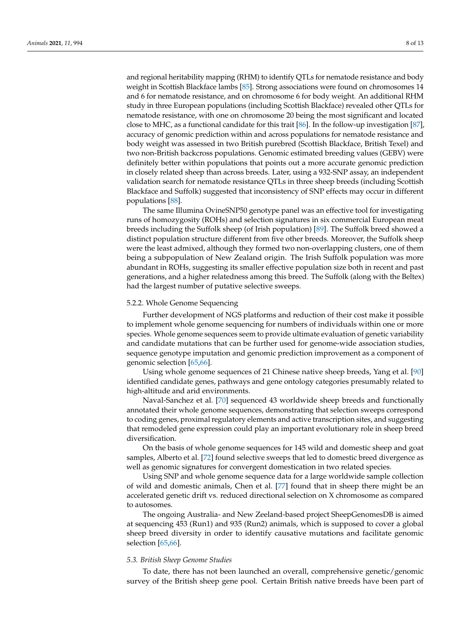and regional heritability mapping (RHM) to identify QTLs for nematode resistance and body weight in Scottish Blackface lambs [85]. Strong associations were found on chromosomes 14 and 6 for nematode resistance, and on chromosome 6 for body weight. An additional RHM study in three European populations (including Scottish Blackface) revealed other QTLs for nematode resistance, with one on chromosome 20 being the most significant and located close to MHC, as a functional candidate for this trait [86]. In the follow-up investigation [87], accuracy of genomic prediction within and across populations for nematode resistance and body weight was assessed in two British purebred (Scottish Blackface, British Texel) and two non-British backcross populations. Genomic estimated breeding values (GEBV) were definitely better within populations that points out a more accurate genomic prediction in closely related sheep than across breeds. Later, using a 932-SNP assay, an independent validation search for nematode resistance QTLs in three sheep breeds (including Scottish Blackface and Suffolk) suggested that inconsistency of SNP effects may occur in different populations [88].

The same Illumina OvineSNP50 genotype panel was an effective tool for investigating runs of homozygosity (ROHs) and selection signatures in six commercial European meat breeds including the Suffolk sheep (of Irish population) [89]. The Suffolk breed showed a distinct population structure different from five other breeds. Moreover, the Suffolk sheep were the least admixed, although they formed two non-overlapping clusters, one of them being a subpopulation of New Zealand origin. The Irish Suffolk population was more abundant in ROHs, suggesting its smaller effective population size both in recent and past generations, and a higher relatedness among this breed. The Suffolk (along with the Beltex) had the largest number of putative selective sweeps.

#### 5.2.2. Whole Genome Sequencing

Further development of NGS platforms and reduction of their cost make it possible to implement whole genome sequencing for numbers of individuals within one or more species. Whole genome sequences seem to provide ultimate evaluation of genetic variability and candidate mutations that can be further used for genome-wide association studies, sequence genotype imputation and genomic prediction improvement as a component of genomic selection [65,66].

Using whole genome sequences of 21 Chinese native sheep breeds, Yang et al. [90] identified candidate genes, pathways and gene ontology categories presumably related to high-altitude and arid environments.

Naval-Sanchez et al. [70] sequenced 43 worldwide sheep breeds and functionally annotated their whole genome sequences, demonstrating that selection sweeps correspond to coding genes, proximal regulatory elements and active transcription sites, and suggesting that remodeled gene expression could play an important evolutionary role in sheep breed diversification.

On the basis of whole genome sequences for 145 wild and domestic sheep and goat samples, Alberto et al. [72] found selective sweeps that led to domestic breed divergence as well as genomic signatures for convergent domestication in two related species.

Using SNP and whole genome sequence data for a large worldwide sample collection of wild and domestic animals, Chen et al. [77] found that in sheep there might be an accelerated genetic drift vs. reduced directional selection on X chromosome as compared to autosomes.

The ongoing Australia- and New Zeeland-based project SheepGenomesDB is aimed at sequencing 453 (Run1) and 935 (Run2) animals, which is supposed to cover a global sheep breed diversity in order to identify causative mutations and facilitate genomic selection [65,66].

#### *5.3. British Sheep Genome Studies*

To date, there has not been launched an overall, comprehensive genetic/genomic survey of the British sheep gene pool. Certain British native breeds have been part of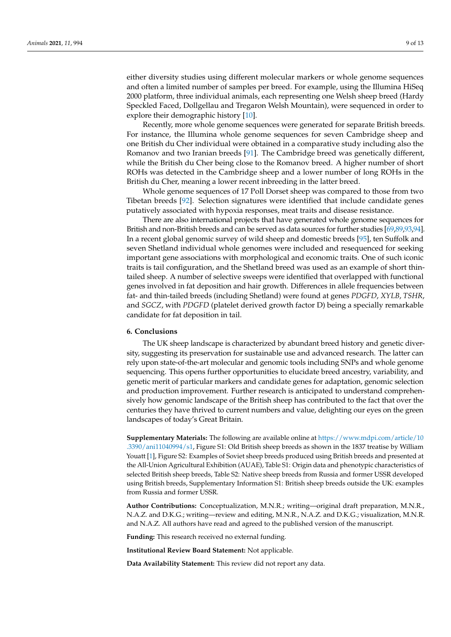either diversity studies using different molecular markers or whole genome sequences and often a limited number of samples per breed. For example, using the Illumina HiSeq 2000 platform, three individual animals, each representing one Welsh sheep breed (Hardy Speckled Faced, Dollgellau and Tregaron Welsh Mountain), were sequenced in order to explore their demographic history [10].

Recently, more whole genome sequences were generated for separate British breeds. For instance, the Illumina whole genome sequences for seven Cambridge sheep and one British du Cher individual were obtained in a comparative study including also the Romanov and two Iranian breeds [91]. The Cambridge breed was genetically different, while the British du Cher being close to the Romanov breed. A higher number of short ROHs was detected in the Cambridge sheep and a lower number of long ROHs in the British du Cher, meaning a lower recent inbreeding in the latter breed.

Whole genome sequences of 17 Poll Dorset sheep was compared to those from two Tibetan breeds [92]. Selection signatures were identified that include candidate genes putatively associated with hypoxia responses, meat traits and disease resistance.

There are also international projects that have generated whole genome sequences for British and non-British breeds and can be served as data sources for further studies [69,89,93,94]. In a recent global genomic survey of wild sheep and domestic breeds [95], ten Suffolk and seven Shetland individual whole genomes were included and resequenced for seeking important gene associations with morphological and economic traits. One of such iconic traits is tail configuration, and the Shetland breed was used as an example of short thintailed sheep. A number of selective sweeps were identified that overlapped with functional genes involved in fat deposition and hair growth. Differences in allele frequencies between fat- and thin-tailed breeds (including Shetland) were found at genes *PDGFD*, *XYLB*, *TSHR*, and *SGCZ*, with *PDGFD* (platelet derived growth factor D) being a specially remarkable candidate for fat deposition in tail.

#### **6. Conclusions**

The UK sheep landscape is characterized by abundant breed history and genetic diversity, suggesting its preservation for sustainable use and advanced research. The latter can rely upon state-of-the-art molecular and genomic tools including SNPs and whole genome sequencing. This opens further opportunities to elucidate breed ancestry, variability, and genetic merit of particular markers and candidate genes for adaptation, genomic selection and production improvement. Further research is anticipated to understand comprehensively how genomic landscape of the British sheep has contributed to the fact that over the centuries they have thrived to current numbers and value, delighting our eyes on the green landscapes of today's Great Britain.

**Supplementary Materials:** The following are available online at [https://www.mdpi.com/article/10](https://www.mdpi.com/article/10.3390/ani11040994/s1) [.3390/ani11040994/s1,](https://www.mdpi.com/article/10.3390/ani11040994/s1) Figure S1: Old British sheep breeds as shown in the 1837 treatise by William Youatt [1], Figure S2: Examples of Soviet sheep breeds produced using British breeds and presented at the All-Union Agricultural Exhibition (AUAE), Table S1: Origin data and phenotypic characteristics of selected British sheep breeds, Table S2: Native sheep breeds from Russia and former USSR developed using British breeds, Supplementary Information S1: British sheep breeds outside the UK: examples from Russia and former USSR.

**Author Contributions:** Conceptualization, M.N.R.; writing—original draft preparation, M.N.R., N.A.Z. and D.K.G.; writing—review and editing, M.N.R., N.A.Z. and D.K.G.; visualization, M.N.R. and N.A.Z. All authors have read and agreed to the published version of the manuscript.

**Funding:** This research received no external funding.

**Institutional Review Board Statement:** Not applicable.

**Data Availability Statement:** This review did not report any data.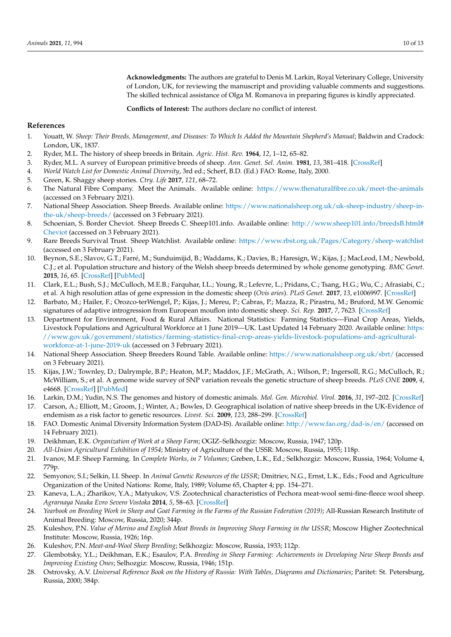**Acknowledgments:** The authors are grateful to Denis M. Larkin, Royal Veterinary College, University of London, UK, for reviewing the manuscript and providing valuable comments and suggestions. The skilled technical assistance of Olga M. Romanova in preparing figures is kindly appreciated.

**Conflicts of Interest:** The authors declare no conflict of interest.

#### **References**

- 1. Youatt, W. *Sheep: Their Breeds, Management, and Diseases: To Which Is Added the Mountain Shepherd's Manual*; Baldwin and Cradock: London, UK, 1837.
- 2. Ryder, M.L. The history of sheep breeds in Britain. *Agric. Hist. Rev.* **1964**, *12*, 1–12, 65–82.
- 3. Ryder, M.L. A survey of European primitive breeds of sheep. *Ann. Genet. Sel. Anim.* **1981**, *13*, 381–418. [\[CrossRef\]](http://doi.org/10.1186/1297-9686-13-4-381)
- 4. *World Watch List for Domestic Animal Diversity*, 3rd ed.; Scherf, B.D. (Ed.) FAO: Rome, Italy, 2000.
- 5. Green, K. Shaggy sheep stories. *Ctry. Life* **2017**, *121*, 68–72.
- 6. The Natural Fibre Company. Meet the Animals. Available online: <https://www.thenaturalfibre.co.uk/meet-the-animals> (accessed on 3 February 2021).
- 7. National Sheep Association. Sheep Breeds. Available online: [https://www.nationalsheep.org.uk/uk-sheep-industry/sheep-in](https://www.nationalsheep.org.uk/uk-sheep-industry/sheep-in-the-uk/sheep-breeds/)[the-uk/sheep-breeds/](https://www.nationalsheep.org.uk/uk-sheep-industry/sheep-in-the-uk/sheep-breeds/) (accessed on 3 February 2021).
- 8. Schoenian, S. Border Cheviot. Sheep Breeds C. Sheep101.info. Available online: [http://www.sheep101.info/breedsB.html#](http://www.sheep101.info/breedsB.html#Cheviot) [Cheviot](http://www.sheep101.info/breedsB.html#Cheviot) (accessed on 3 February 2021).
- 9. Rare Breeds Survival Trust. Sheep Watchlist. Available online: <https://www.rbst.org.uk/Pages/Category/sheep-watchlist> (accessed on 3 February 2021).
- 10. Beynon, S.E.; Slavov, G.T.; Farré, M.; Sunduimijid, B.; Waddams, K.; Davies, B.; Haresign, W.; Kijas, J.; MacLeod, I.M.; Newbold, C.J.; et al. Population structure and history of the Welsh sheep breeds determined by whole genome genotyping. *BMC Genet.* **2015**, *16*, 65. [\[CrossRef\]](http://doi.org/10.1186/s12863-015-0216-x) [\[PubMed\]](http://www.ncbi.nlm.nih.gov/pubmed/26091804)
- 11. Clark, E.L.; Bush, S.J.; McCulloch, M.E.B.; Farquhar, I.L.; Young, R.; Lefevre, L.; Pridans, C.; Tsang, H.G.; Wu, C.; Afrasiabi, C.; et al. A high resolution atlas of gene expression in the domestic sheep (*Ovis aries*). *PLoS Genet.* **2017**, *13*, e1006997. [\[CrossRef\]](http://doi.org/10.1371/journal.pgen.1006997)
- 12. Barbato, M.; Hailer, F.; Orozco-terWengel, P.; Kijas, J.; Mereu, P.; Cabras, P.; Mazza, R.; Pirastru, M.; Bruford, M.W. Genomic signatures of adaptive introgression from European mouflon into domestic sheep. *Sci. Rep.* **2017**, *7*, 7623. [\[CrossRef\]](http://doi.org/10.1038/s41598-017-07382-7)
- 13. Department for Environment, Food & Rural Affairs. National Statistics: Farming Statistics—Final Crop Areas, Yields, Livestock Populations and Agricultural Workforce at 1 June 2019—UK. Last Updated 14 February 2020. Available online: [https:](https://www.gov.uk/government/statistics/farming-statistics-final-crop-areas-yields-livestock-populations-and-agricultural-workforce-at-1-june-2019-uk) [//www.gov.uk/government/statistics/farming-statistics-final-crop-areas-yields-livestock-populations-and-agricultural](https://www.gov.uk/government/statistics/farming-statistics-final-crop-areas-yields-livestock-populations-and-agricultural-workforce-at-1-june-2019-uk)[workforce-at-1-june-2019-uk](https://www.gov.uk/government/statistics/farming-statistics-final-crop-areas-yields-livestock-populations-and-agricultural-workforce-at-1-june-2019-uk) (accessed on 3 February 2021).
- 14. National Sheep Association. Sheep Breeders Round Table. Available online: <https://www.nationalsheep.org.uk/sbrt/> (accessed on 3 February 2021).
- 15. Kijas, J.W.; Townley, D.; Dalrymple, B.P.; Heaton, M.P.; Maddox, J.F.; McGrath, A.; Wilson, P.; Ingersoll, R.G.; McCulloch, R.; McWilliam, S.; et al. A genome wide survey of SNP variation reveals the genetic structure of sheep breeds. *PLoS ONE* **2009**, *4*, e4668. [\[CrossRef\]](http://doi.org/10.1371/journal.pone.0004668) [\[PubMed\]](http://www.ncbi.nlm.nih.gov/pubmed/19270757)
- 16. Larkin, D.M.; Yudin, N.S. The genomes and history of domestic animals. *Mol. Gen. Microbiol. Virol.* **2016**, *31*, 197–202. [\[CrossRef\]](http://doi.org/10.3103/S0891416816040054)
- 17. Carson, A.; Elliott, M.; Groom, J.; Winter, A.; Bowles, D. Geographical isolation of native sheep breeds in the UK-Evidence of endemism as a risk factor to genetic resources. *Livest. Sci.* **2009**, *123*, 288–299. [\[CrossRef\]](http://doi.org/10.1016/j.livsci.2008.11.026)
- 18. FAO. Domestic Animal Diversity Information System (DAD-IS). Available online: <http://www.fao.org/dad-is/en/> (accessed on 14 February 2021).
- 19. Deikhman, E.K. *Organization of Work at a Sheep Farm*; OGIZ–Selkhozgiz: Moscow, Russia, 1947; 120p.
- 20. *All-Union Agricultural Exhibition of 1954*; Ministry of Agriculture of the USSR: Moscow, Russia, 1955; 118p.
- 21. Ivanov, M.F. Sheep Farming. In *Complete Works, in 7 Volumes*; Greben, L.K., Ed.; Selkhozgiz: Moscow, Russia, 1964; Volume 4, 779p.
- 22. Semyonov, S.I.; Selkin, I.I. Sheep. In *Animal Genetic Resources of the USSR*; Dmitriev, N.G., Ernst, L.K., Eds.; Food and Agriculture Organization of the United Nations: Rome, Italy, 1989; Volume 65, Chapter 4; pp. 154–271.
- 23. Kaneva, L.A.; Zharikov, Y.A.; Matyukov, V.S. Zootechnical characteristics of Pechora meat-wool semi-fine-fleece wool sheep. *Agrarnaya Nauka Evro Severo Vostoka* **2014**, *5*, 58–63. [\[CrossRef\]](http://doi.org/10.30766/2072-9081.2014.42.5.58-63)
- 24. *Yearbook on Breeding Work in Sheep and Goat Farming in the Farms of the Russian Federation (2019)*; All-Russian Research Institute of Animal Breeding: Moscow, Russia, 2020; 344p.
- 25. Kuleshov, P.N. *Value of Merino and English Meat Breeds in Improving Sheep Farming in the USSR*; Moscow Higher Zootechnical Institute: Moscow, Russia, 1926; 16p.
- 26. Kuleshov, P.N. *Meat-and-Wool Sheep Breeding*; Selkhozgiz: Moscow, Russia, 1933; 112p.
- 27. Glembotsky, Y.L.; Deikhman, E.K.; Esaulov, P.A. *Breeding in Sheep Farming: Achievements in Developing New Sheep Breeds and Improving Existing Ones*; Selhozgiz: Moscow, Russia, 1946; 151p.
- 28. Ostrovsky, A.V. *Universal Reference Book on the History of Russia: With Tables, Diagrams and Dictionaries*; Paritet: St. Petersburg, Russia, 2000; 384p.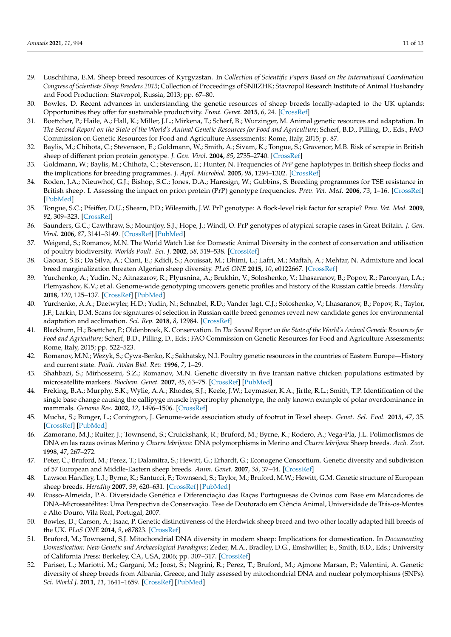- 29. Luschihina, E.M. Sheep breed resources of Kyrgyzstan. In *Collection of Scientific Papers Based on the International Coordination Congress of Scientists Sheep Breeders 2013*; Collection of Proceedings of SNIIZHK; Stavropol Research Institute of Animal Husbandry and Food Production: Stavropol, Russia, 2013; pp. 67–80.
- 30. Bowles, D. Recent advances in understanding the genetic resources of sheep breeds locally-adapted to the UK uplands: Opportunities they offer for sustainable productivity. *Front. Genet.* **2015**, *6*, 24. [\[CrossRef\]](http://doi.org/10.3389/fgene.2015.00024)
- 31. Boettcher, P.; Haile, A.; Hall, K.; Miller, J.L.; Mirkena, T.; Scherf, B.; Wurzinger, M. Animal genetic resources and adaptation. In *The Second Report on the State of the World's Animal Genetic Resources for Food and Agriculture*; Scherf, B.D., Pilling, D., Eds.; FAO Commission on Genetic Resources for Food and Agriculture Assessments: Rome, Italy, 2015; p. 87.
- 32. Baylis, M.; Chihota, C.; Stevenson, E.; Goldmann, W.; Smith, A.; Sivam, K.; Tongue, S.; Gravenor, M.B. Risk of scrapie in British sheep of different prion protein genotype. *J. Gen. Virol.* **2004**, *85*, 2735–2740. [\[CrossRef\]](http://doi.org/10.1099/vir.0.79876-0)
- 33. Goldmann, W.; Baylis, M.; Chihota, C.; Stevenson, E.; Hunter, N. Frequencies of *PrP* gene haplotypes in British sheep flocks and the implications for breeding programmes. *J. Appl. Microbiol.* **2005**, *98*, 1294–1302. [\[CrossRef\]](http://doi.org/10.1111/j.1365-2672.2005.02568.x)
- 34. Roden, J.A.; Nieuwhof, G.J.; Bishop, S.C.; Jones, D.A.; Haresign, W.; Gubbins, S. Breeding programmes for TSE resistance in British sheep. I. Assessing the impact on prion protein (PrP) genotype frequencies. *Prev. Vet. Med.* **2006**, *73*, 1–16. [\[CrossRef\]](http://doi.org/10.1016/j.prevetmed.2005.08.002) [\[PubMed\]](http://www.ncbi.nlm.nih.gov/pubmed/16169614)
- 35. Tongue, S.C.; Pfeiffer, D.U.; Shearn, P.D.; Wilesmith, J.W. PrP genotype: A flock-level risk factor for scrapie? *Prev. Vet. Med.* **2009**, *92*, 309–323. [\[CrossRef\]](http://doi.org/10.1016/j.prevetmed.2009.08.009)
- 36. Saunders, G.C.; Cawthraw, S.; Mountjoy, S.J.; Hope, J.; Windl, O. PrP genotypes of atypical scrapie cases in Great Britain. *J. Gen. Virol.* **2006**, *87*, 3141–3149. [\[CrossRef\]](http://doi.org/10.1099/vir.0.81779-0) [\[PubMed\]](http://www.ncbi.nlm.nih.gov/pubmed/17030846)
- 37. Weigend, S.; Romanov, M.N. The World Watch List for Domestic Animal Diversity in the context of conservation and utilisation of poultry biodiversity. *Worlds Poult. Sci. J.* **2002**, *58*, 519–538. [\[CrossRef\]](http://doi.org/10.1079/WPS20020031)
- 38. Gaouar, S.B.; Da Silva, A.; Ciani, E.; Kdidi, S.; Aouissat, M.; Dhimi, L.; Lafri, M.; Maftah, A.; Mehtar, N. Admixture and local breed marginalization threaten Algerian sheep diversity. *PLoS ONE* **2015**, *10*, e0122667. [\[CrossRef\]](http://doi.org/10.1371/journal.pone.0122667)
- 39. Yurchenko, A.; Yudin, N.; Aitnazarov, R.; Plyusnina, A.; Brukhin, V.; Soloshenko, V.; Lhasaranov, B.; Popov, R.; Paronyan, I.A.; Plemyashov, K.V.; et al. Genome-wide genotyping uncovers genetic profiles and history of the Russian cattle breeds. *Heredity* **2018**, *120*, 125–137. [\[CrossRef\]](http://doi.org/10.1038/s41437-017-0024-3) [\[PubMed\]](http://www.ncbi.nlm.nih.gov/pubmed/29217829)
- 40. Yurchenko, A.A.; Daetwyler, H.D.; Yudin, N.; Schnabel, R.D.; Vander Jagt, C.J.; Soloshenko, V.; Lhasaranov, B.; Popov, R.; Taylor, J.F.; Larkin, D.M. Scans for signatures of selection in Russian cattle breed genomes reveal new candidate genes for environmental adaptation and acclimation. *Sci. Rep.* **2018**, *8*, 12984. [\[CrossRef\]](http://doi.org/10.1038/s41598-018-31304-w)
- 41. Blackburn, H.; Boettcher, P.; Oldenbroek, K. Conservation. In *The Second Report on the State of the World's Animal Genetic Resources for Food and Agriculture*; Scherf, B.D., Pilling, D., Eds.; FAO Commission on Genetic Resources for Food and Agriculture Assessments: Rome, Italy, 2015; pp. 522–523.
- 42. Romanov, M.N.; Wezyk, S.; Cywa-Benko, K.; Sakhatsky, N.I. Poultry genetic resources in the countries of Eastern Europe—History and current state. *Poult. Avian Biol. Rev.* **1996**, *7*, 1–29.
- 43. Shahbazi, S.; Mirhosseini, S.Z.; Romanov, M.N. Genetic diversity in five Iranian native chicken populations estimated by microsatellite markers. *Biochem. Genet.* **2007**, *45*, 63–75. [\[CrossRef\]](http://doi.org/10.1007/s10528-006-9058-6) [\[PubMed\]](http://www.ncbi.nlm.nih.gov/pubmed/17203406)
- 44. Freking, B.A.; Murphy, S.K.; Wylie, A.A.; Rhodes, S.J.; Keele, J.W.; Leymaster, K.A.; Jirtle, R.L.; Smith, T.P. Identification of the single base change causing the callipyge muscle hypertrophy phenotype, the only known example of polar overdominance in mammals. *Genome Res.* **2002**, *12*, 1496–1506. [\[CrossRef\]](http://doi.org/10.1101/gr.571002)
- 45. Mucha, S.; Bunger, L.; Conington, J. Genome-wide association study of footrot in Texel sheep. *Genet. Sel. Evol.* **2015**, *47*, 35. [\[CrossRef\]](http://doi.org/10.1186/s12711-015-0119-3) [\[PubMed\]](http://www.ncbi.nlm.nih.gov/pubmed/25926335)
- 46. Zamorano, M.J.; Ruiter, J.; Townsend, S.; Cruickshank, R.; Bruford, M.; Byrne, K.; Rodero, A.; Vega-Pla, J.L. Polimorfismos de DNA en las razas ovinas Merino y *Churra lebrijana*: DNA polymorphisms in Merino and *Churra lebrijana* Sheep breeds. *Arch. Zoot.* **1998**, *47*, 267–272.
- 47. Peter, C.; Bruford, M.; Perez, T.; Dalamitra, S.; Hewitt, G.; Erhardt, G.; Econogene Consortium. Genetic diversity and subdivision of 57 European and Middle-Eastern sheep breeds. *Anim. Genet.* **2007**, *38*, 37–44. [\[CrossRef\]](http://doi.org/10.1111/j.1365-2052.2007.01561.x)
- 48. Lawson Handley, L.J.; Byrne, K.; Santucci, F.; Townsend, S.; Taylor, M.; Bruford, M.W.; Hewitt, G.M. Genetic structure of European sheep breeds. *Heredity* **2007**, *99*, 620–631. [\[CrossRef\]](http://doi.org/10.1038/sj.hdy.6801039) [\[PubMed\]](http://www.ncbi.nlm.nih.gov/pubmed/17700634)
- 49. Russo-Almeida, P.A. Diversidade Genética e Diferenciação das Raças Portuguesas de Ovinos com Base em Marcadores de DNA–Microssatélites: Uma Perspectiva de Conservação. Tese de Doutorado em Ciência Animal, Universidade de Trás-os-Montes e Alto Douro, Vila Real, Portugal, 2007.
- 50. Bowles, D.; Carson, A.; Isaac, P. Genetic distinctiveness of the Herdwick sheep breed and two other locally adapted hill breeds of the UK. *PLoS ONE* **2014**, *9*, e87823. [\[CrossRef\]](http://doi.org/10.1371/journal.pone.0087823)
- 51. Bruford, M.; Townsend, S.J. Mitochondrial DNA diversity in modern sheep: Implications for domestication. In *Documenting Domestication: New Genetic and Archaeological Paradigms*; Zeder, M.A., Bradley, D.G., Emshwiller, E., Smith, B.D., Eds.; University of California Press: Berkeley, CA, USA, 2006; pp. 307–317. [\[CrossRef\]](http://doi.org/10.1525/9780520932425-024)
- 52. Pariset, L.; Mariotti, M.; Gargani, M.; Joost, S.; Negrini, R.; Perez, T.; Bruford, M.; Ajmone Marsan, P.; Valentini, A. Genetic diversity of sheep breeds from Albania, Greece, and Italy assessed by mitochondrial DNA and nuclear polymorphisms (SNPs). *Sci. World J.* **2011**, *11*, 1641–1659. [\[CrossRef\]](http://doi.org/10.1100/2011/186342) [\[PubMed\]](http://www.ncbi.nlm.nih.gov/pubmed/22125424)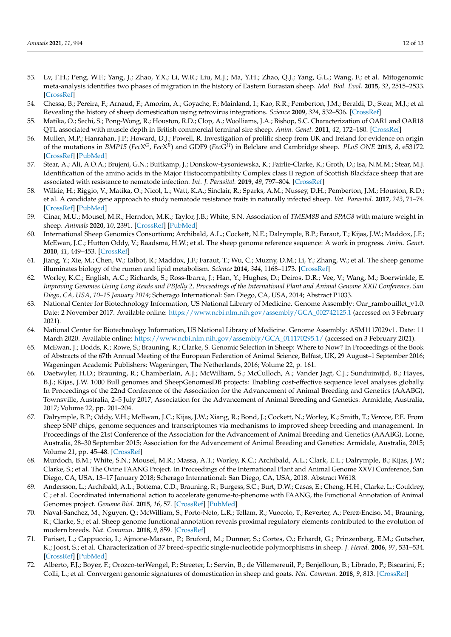- 53. Lv, F.H.; Peng, W.F.; Yang, J.; Zhao, Y.X.; Li, W.R.; Liu, M.J.; Ma, Y.H.; Zhao, Q.J.; Yang, G.L.; Wang, F.; et al. Mitogenomic meta-analysis identifies two phases of migration in the history of Eastern Eurasian sheep. *Mol. Biol. Evol.* **2015**, *32*, 2515–2533. [\[CrossRef\]](http://doi.org/10.1093/molbev/msv139)
- 54. Chessa, B.; Pereira, F.; Arnaud, F.; Amorim, A.; Goyache, F.; Mainland, I.; Kao, R.R.; Pemberton, J.M.; Beraldi, D.; Stear, M.J.; et al. Revealing the history of sheep domestication using retrovirus integrations. *Science* **2009**, *324*, 532–536. [\[CrossRef\]](http://doi.org/10.1126/science.1170587)
- 55. Matika, O.; Sechi, S.; Pong-Wong, R.; Houston, R.D.; Clop, A.; Woolliams, J.A.; Bishop, S.C. Characterization of OAR1 and OAR18 QTL associated with muscle depth in British commercial terminal sire sheep. *Anim. Genet.* **2011**, *42*, 172–180. [\[CrossRef\]](http://doi.org/10.1111/j.1365-2052.2010.02121.x)
- 56. Mullen, M.P.; Hanrahan, J.P.; Howard, D.J.; Powell, R. Investigation of prolific sheep from UK and Ireland for evidence on origin of the mutations in BMP15 (FecX<sup>G</sup>, FecX<sup>B</sup>) and GDF9 (FecG<sup>H</sup>) in Belclare and Cambridge sheep. *PLoS ONE* **2013**, 8, e53172. [\[CrossRef\]](http://doi.org/10.1371/journal.pone.0053172) [\[PubMed\]](http://www.ncbi.nlm.nih.gov/pubmed/23301039)
- 57. Stear, A.; Ali, A.O.A.; Brujeni, G.N.; Buitkamp, J.; Donskow-Łysoniewska, K.; Fairlie-Clarke, K.; Groth, D.; Isa, N.M.M.; Stear, M.J. Identification of the amino acids in the Major Histocompatibility Complex class II region of Scottish Blackface sheep that are associated with resistance to nematode infection. *Int. J. Parasitol.* **2019**, *49*, 797–804. [\[CrossRef\]](http://doi.org/10.1016/j.ijpara.2019.05.003)
- 58. Wilkie, H.; Riggio, V.; Matika, O.; Nicol, L.; Watt, K.A.; Sinclair, R.; Sparks, A.M.; Nussey, D.H.; Pemberton, J.M.; Houston, R.D.; et al. A candidate gene approach to study nematode resistance traits in naturally infected sheep. *Vet. Parasitol.* **2017**, *243*, 71–74. [\[CrossRef\]](http://doi.org/10.1016/j.vetpar.2017.06.010) [\[PubMed\]](http://www.ncbi.nlm.nih.gov/pubmed/28807314)
- 59. Cinar, M.U.; Mousel, M.R.; Herndon, M.K.; Taylor, J.B.; White, S.N. Association of *TMEM8B* and *SPAG8* with mature weight in sheep. *Animals* **2020**, *10*, 2391. [\[CrossRef\]](http://doi.org/10.3390/ani10122391) [\[PubMed\]](http://www.ncbi.nlm.nih.gov/pubmed/33333720)
- 60. International Sheep Genomics Consortium; Archibald, A.L.; Cockett, N.E.; Dalrymple, B.P.; Faraut, T.; Kijas, J.W.; Maddox, J.F.; McEwan, J.C.; Hutton Oddy, V.; Raadsma, H.W.; et al. The sheep genome reference sequence: A work in progress. *Anim. Genet.* **2010**, *41*, 449–453. [\[CrossRef\]](http://doi.org/10.1111/j.1365-2052.2010.02100.x)
- 61. Jiang, Y.; Xie, M.; Chen, W.; Talbot, R.; Maddox, J.F.; Faraut, T.; Wu, C.; Muzny, D.M.; Li, Y.; Zhang, W.; et al. The sheep genome illuminates biology of the rumen and lipid metabolism. *Science* **2014**, *344*, 1168–1173. [\[CrossRef\]](http://doi.org/10.1126/science.1252806)
- 62. Worley, K.C.; English, A.C.; Richards, S.; Ross-Ibarra, J.; Han, Y.; Hughes, D.; Deiros, D.R.; Vee, V.; Wang, M.; Boerwinkle, E. *Improving Genomes Using Long Reads and PBJelly 2, Proceedings of the International Plant and Animal Genome XXII Conference, San Diego, CA, USA, 10–15 January 2014*; Scherago International: San Diego, CA, USA, 2014; Abstract P1033.
- 63. National Center for Biotechnology Information, US National Library of Medicine. Genome Assembly: Oar\_rambouillet\_v1.0. Date: 2 November 2017. Available online: [https://www.ncbi.nlm.nih.gov/assembly/GCA\\_002742125.1](https://www.ncbi.nlm.nih.gov/assembly/GCA_002742125.1) (accessed on 3 February 2021).
- 64. National Center for Biotechnology Information, US National Library of Medicine. Genome Assembly: ASM1117029v1. Date: 11 March 2020. Available online: [https://www.ncbi.nlm.nih.gov/assembly/GCA\\_011170295.1/](https://www.ncbi.nlm.nih.gov/assembly/GCA_011170295.1/) (accessed on 3 February 2021).
- 65. McEwan, J.; Dodds, K.; Rowe, S.; Brauning, R.; Clarke, S. Genomic Selection in Sheep: Where to Now? In Proceedings of the Book of Abstracts of the 67th Annual Meeting of the European Federation of Animal Science, Belfast, UK, 29 August–1 September 2016; Wageningen Academic Publishers: Wageningen, The Netherlands, 2016; Volume 22, p. 161.
- 66. Daetwyler, H.D.; Brauning, R.; Chamberlain, A.J.; McWilliam, S.; McCulloch, A.; Vander Jagt, C.J.; Sunduimijid, B.; Hayes, B.J.; Kijas, J.W. 1000 Bull genomes and SheepGenomesDB projects: Enabling cost-effective sequence level analyses globally. In Proceedings of the 22nd Conference of the Association for the Advancement of Animal Breeding and Genetics (AAABG), Townsville, Australia, 2–5 July 2017; Association for the Advancement of Animal Breeding and Genetics: Armidale, Australia, 2017; Volume 22, pp. 201–204.
- 67. Dalrymple, B.P.; Oddy, V.H.; McEwan, J.C.; Kijas, J.W.; Xiang, R.; Bond, J.; Cockett, N.; Worley, K.; Smith, T.; Vercoe, P.E. From sheep SNP chips, genome sequences and transcriptomes via mechanisms to improved sheep breeding and management. In Proceedings of the 21st Conference of the Association for the Advancement of Animal Breeding and Genetics (AAABG), Lorne, Australia, 28–30 September 2015; Association for the Advancement of Animal Breeding and Genetics: Armidale, Australia, 2015; Volume 21, pp. 45–48. [\[CrossRef\]](http://doi.org/10.13140/RG.2.1.1636.5529)
- 68. Murdoch, B.M.; White, S.N.; Mousel, M.R.; Massa, A.T.; Worley, K.C.; Archibald, A.L.; Clark, E.L.; Dalrymple, B.; Kijas, J.W.; Clarke, S.; et al. The Ovine FAANG Project. In Proceedings of the International Plant and Animal Genome XXVI Conference, San Diego, CA, USA, 13–17 January 2018; Scherago International: San Diego, CA, USA, 2018. Abstract W618.
- 69. Andersson, L.; Archibald, A.L.; Bottema, C.D.; Brauning, R.; Burgess, S.C.; Burt, D.W.; Casas, E.; Cheng, H.H.; Clarke, L.; Couldrey, C.; et al. Coordinated international action to accelerate genome-to-phenome with FAANG, the Functional Annotation of Animal Genomes project. *Genome Biol.* **2015**, *16*, 57. [\[CrossRef\]](http://doi.org/10.1186/s13059-015-0622-4) [\[PubMed\]](http://www.ncbi.nlm.nih.gov/pubmed/25854118)
- 70. Naval-Sanchez, M.; Nguyen, Q.; McWilliam, S.; Porto-Neto, L.R.; Tellam, R.; Vuocolo, T.; Reverter, A.; Perez-Enciso, M.; Brauning, R.; Clarke, S.; et al. Sheep genome functional annotation reveals proximal regulatory elements contributed to the evolution of modern breeds. *Nat. Commun.* **2018**, *9*, 859. [\[CrossRef\]](http://doi.org/10.1038/s41467-017-02809-1)
- 71. Pariset, L.; Cappuccio, I.; Ajmone-Marsan, P.; Bruford, M.; Dunner, S.; Cortes, O.; Erhardt, G.; Prinzenberg, E.M.; Gutscher, K.; Joost, S.; et al. Characterization of 37 breed-specific single-nucleotide polymorphisms in sheep. *J. Hered.* **2006**, *97*, 531–534. [\[CrossRef\]](http://doi.org/10.1093/jhered/esl020) [\[PubMed\]](http://www.ncbi.nlm.nih.gov/pubmed/16973784)
- 72. Alberto, F.J.; Boyer, F.; Orozco-terWengel, P.; Streeter, I.; Servin, B.; de Villemereuil, P.; Benjelloun, B.; Librado, P.; Biscarini, F.; Colli, L.; et al. Convergent genomic signatures of domestication in sheep and goats. *Nat. Commun.* **2018**, *9*, 813. [\[CrossRef\]](http://doi.org/10.1038/s41467-018-03206-y)